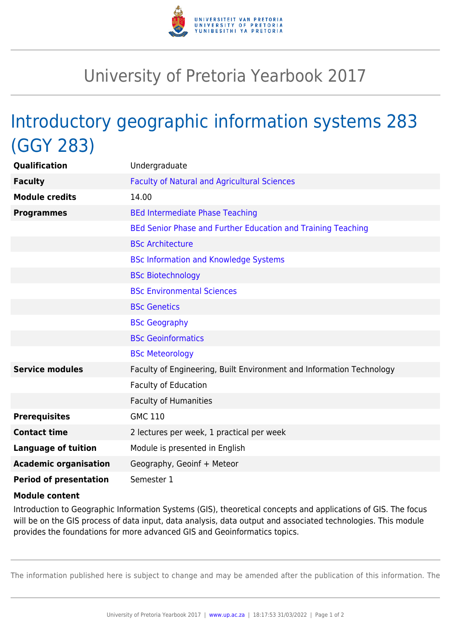

## University of Pretoria Yearbook 2017

## Introductory geographic information systems 283 (GGY 283)

| <b>Qualification</b>          | Undergraduate                                                        |
|-------------------------------|----------------------------------------------------------------------|
| <b>Faculty</b>                | <b>Faculty of Natural and Agricultural Sciences</b>                  |
| <b>Module credits</b>         | 14.00                                                                |
| <b>Programmes</b>             | <b>BEd Intermediate Phase Teaching</b>                               |
|                               | BEd Senior Phase and Further Education and Training Teaching         |
|                               | <b>BSc Architecture</b>                                              |
|                               | <b>BSc Information and Knowledge Systems</b>                         |
|                               | <b>BSc Biotechnology</b>                                             |
|                               | <b>BSc Environmental Sciences</b>                                    |
|                               | <b>BSc Genetics</b>                                                  |
|                               | <b>BSc Geography</b>                                                 |
|                               | <b>BSc Geoinformatics</b>                                            |
|                               | <b>BSc Meteorology</b>                                               |
| <b>Service modules</b>        | Faculty of Engineering, Built Environment and Information Technology |
|                               | Faculty of Education                                                 |
|                               | <b>Faculty of Humanities</b>                                         |
| <b>Prerequisites</b>          | <b>GMC 110</b>                                                       |
| <b>Contact time</b>           | 2 lectures per week, 1 practical per week                            |
| <b>Language of tuition</b>    | Module is presented in English                                       |
| <b>Academic organisation</b>  | Geography, Geoinf + Meteor                                           |
| <b>Period of presentation</b> | Semester 1                                                           |

## **Module content**

Introduction to Geographic Information Systems (GIS), theoretical concepts and applications of GIS. The focus will be on the GIS process of data input, data analysis, data output and associated technologies. This module provides the foundations for more advanced GIS and Geoinformatics topics.

The information published here is subject to change and may be amended after the publication of this information. The